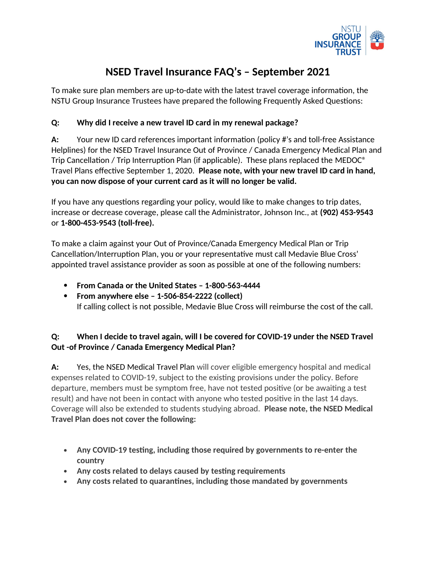

# **NSED Travel Insurance FAQ's – September 2021**

To make sure plan members are up-to-date with the latest travel coverage information, the NSTU Group Insurance Trustees have prepared the following Frequently Asked Questions:

#### **Q: Why did I receive a new travel ID card in my renewal package?**

**A:** Your new ID card references important information (policy #'s and toll-free Assistance Helplines) for the NSED Travel Insurance Out of Province / Canada Emergency Medical Plan and Trip Cancellation / Trip Interruption Plan (if applicable). These plans replaced the MEDOC® Travel Plans effective September 1, 2020. **Please note, with your new travel ID card in hand, you can now dispose of your current card as it will no longer be valid.**

If you have any questions regarding your policy, would like to make changes to trip dates, increase or decrease coverage, please call the Administrator, Johnson Inc., at **(902) 453-9543**  or **1-800-453-9543 (toll-free).**

To make a claim against your Out of Province/Canada Emergency Medical Plan or Trip Cancellation/Interruption Plan, you or your representative must call Medavie Blue Cross' appointed travel assistance provider as soon as possible at one of the following numbers:

- **From Canada or the United States 1-800-563-4444**
- **From anywhere else 1-506-854-2222 (collect)** If calling collect is not possible, Medavie Blue Cross will reimburse the cost of the call.

## **Q: When I decide to travel again, will I be covered for COVID-19 under the NSED Travel Out -of Province / Canada Emergency Medical Plan?**

**A:** Yes, the NSED Medical Travel Plan will cover eligible emergency hospital and medical expenses related to COVID-19, subject to the existing provisions under the policy. Before departure, members must be symptom free, have not tested positive (or be awaiting a test result) and have not been in contact with anyone who tested positive in the last 14 days. Coverage will also be extended to students studying abroad. **Please note, the NSED Medical Travel Plan does not cover the following:**

- **Any COVID-19 testing, including those required by governments to re-enter the country**
- **Any costs related to delays caused by testing requirements**
- **Any costs related to quarantines, including those mandated by governments**